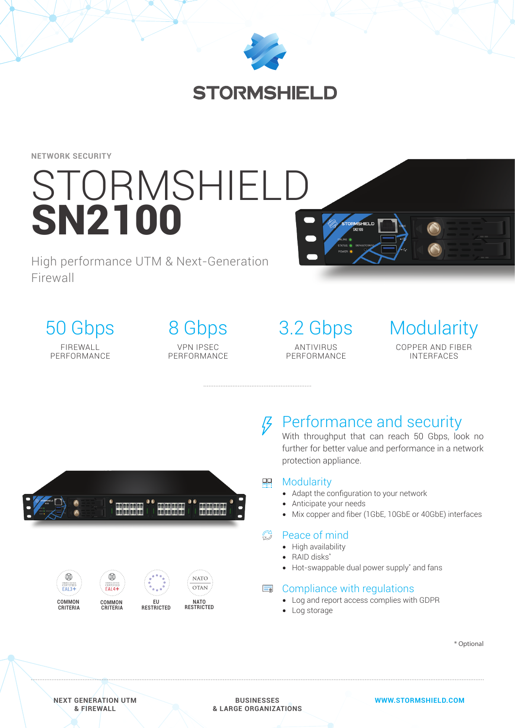

**NETWORK SECURITY**

# STORMSHIELD **SN2100**

High performance UTM & Next-Generation Firewall

50 Gbps FIREWALL PERFORMANCE

8 Gbps VPN IPSEC **PERFORMANCE**  3.2 Gbps ANTIVIRUS PERFORMANCE



00000000 000000000 00000000



## *<u>B* Performance and security</u>

With throughput that can reach 50 Gbps, look no further for better value and performance in a network protection appliance.

#### $\Box$ **Modularity**

- Adapt the configuration to your network
- Anticipate your needs
- Mix copper and fiber (1GbE, 10GbE or 40GbE) interfaces

#### $\mathbb{G}$ Peace of mind

- High availability
- RAID disks\*
- Hot-swappable dual power supply\* and fans

## **■ Compliance with regulations**

- Log and report access complies with GDPR
- Log storage

\* Optional

**NEXT GENERATION UTM & FIREWALL**

**BUSINESSES & LARGE ORGANIZATIONS** **WWW.STORMSHIELD.COM**